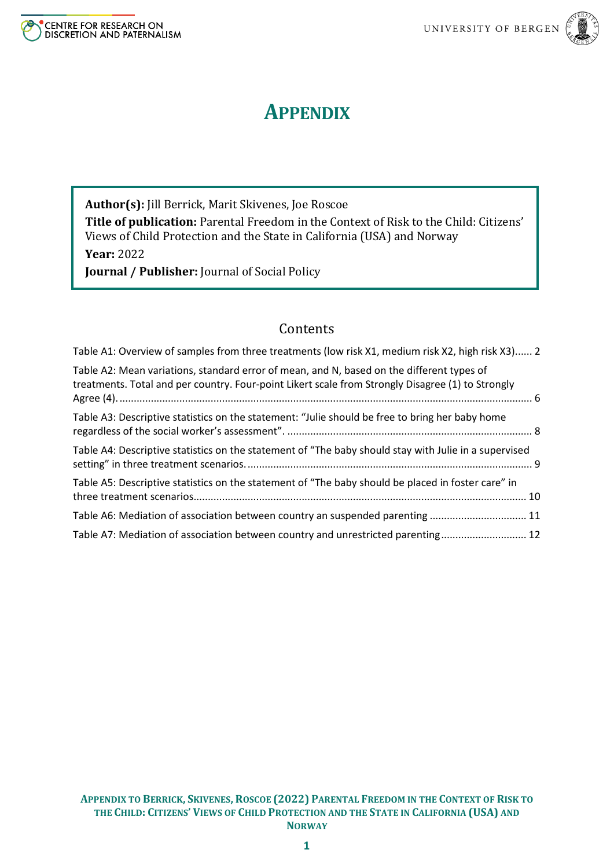



# **APPENDIX**

**Author(s):** Jill Berrick, Marit Skivenes, Joe Roscoe **Title of publication:** Parental Freedom in the Context of Risk to the Child: Citizens' Views of Child Protection and the State in California (USA) and Norway **Year:** 2022

**Journal / Publisher:** Journal of Social Policy

#### Contents

| Table A1: Overview of samples from three treatments (low risk X1, medium risk X2, high risk X3) 2                                                                                              |  |
|------------------------------------------------------------------------------------------------------------------------------------------------------------------------------------------------|--|
| Table A2: Mean variations, standard error of mean, and N, based on the different types of<br>treatments. Total and per country. Four-point Likert scale from Strongly Disagree (1) to Strongly |  |
| Table A3: Descriptive statistics on the statement: "Julie should be free to bring her baby home                                                                                                |  |
| Table A4: Descriptive statistics on the statement of "The baby should stay with Julie in a supervised                                                                                          |  |
| Table A5: Descriptive statistics on the statement of "The baby should be placed in foster care" in                                                                                             |  |
| Table A6: Mediation of association between country an suspended parenting  11                                                                                                                  |  |
| Table A7: Mediation of association between country and unrestricted parenting 12                                                                                                               |  |
|                                                                                                                                                                                                |  |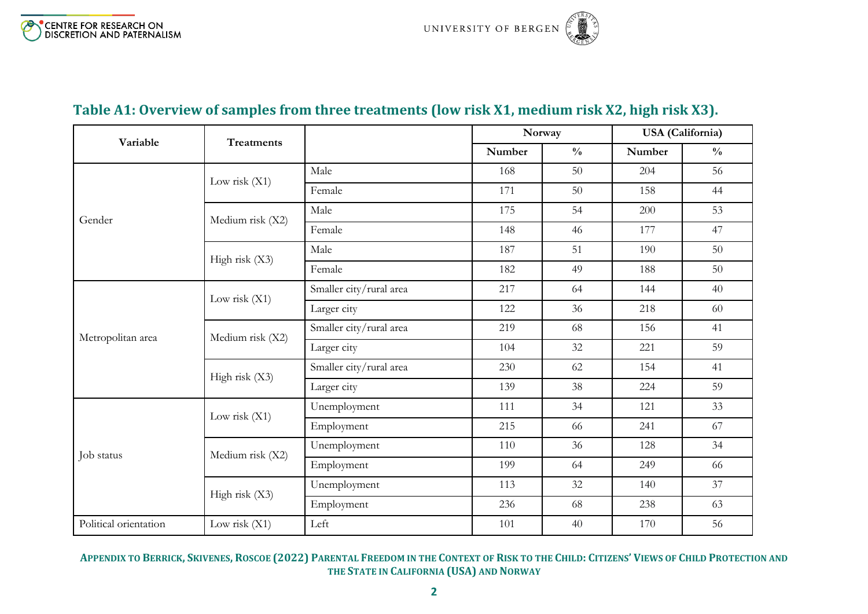# **Table A1: Overview of samples from three treatments (low risk X1, medium risk X2, high risk X3).**

<span id="page-1-0"></span>

| Variable<br><b>Treatments</b> |                  |                         |        | Norway        |        | <b>USA</b> (California) |  |
|-------------------------------|------------------|-------------------------|--------|---------------|--------|-------------------------|--|
|                               |                  |                         | Number | $\frac{0}{0}$ | Number | $\frac{0}{0}$           |  |
|                               |                  | Male                    | 168    | 50            | 204    | 56                      |  |
|                               | Low risk $(X1)$  | Female                  | 171    | 50            | 158    | 44                      |  |
| Gender                        | Medium risk (X2) | Male                    | 175    | 54            | 200    | 53                      |  |
|                               |                  | Female                  | 148    | 46            | 177    | 47                      |  |
|                               | High risk (X3)   | Male                    | 187    | 51            | 190    | 50                      |  |
|                               |                  | Female                  | 182    | 49            | 188    | 50                      |  |
|                               | Low risk $(X1)$  | Smaller city/rural area | 217    | 64            | 144    | 40                      |  |
|                               |                  | Larger city             | 122    | 36            | 218    | 60                      |  |
| Metropolitan area             | Medium risk (X2) | Smaller city/rural area | 219    | 68            | 156    | 41                      |  |
|                               |                  | Larger city             | 104    | 32            | 221    | 59                      |  |
|                               | High risk (X3)   | Smaller city/rural area | 230    | 62            | 154    | 41                      |  |
|                               |                  | Larger city             | 139    | 38            | 224    | 59                      |  |
|                               | Low risk $(X1)$  | Unemployment            | 111    | 34            | 121    | 33                      |  |
|                               |                  | Employment              | 215    | 66            | 241    | 67                      |  |
| Job status                    | Medium risk (X2) | Unemployment            | 110    | 36            | 128    | 34                      |  |
|                               |                  | Employment              | 199    | 64            | 249    | 66                      |  |
|                               |                  | Unemployment            | 113    | 32            | 140    | 37                      |  |
|                               | High risk (X3)   | Employment              | 236    | 68            | 238    | 63                      |  |
| Political orientation         | Low risk $(X1)$  | Left                    | 101    | 40            | 170    | 56                      |  |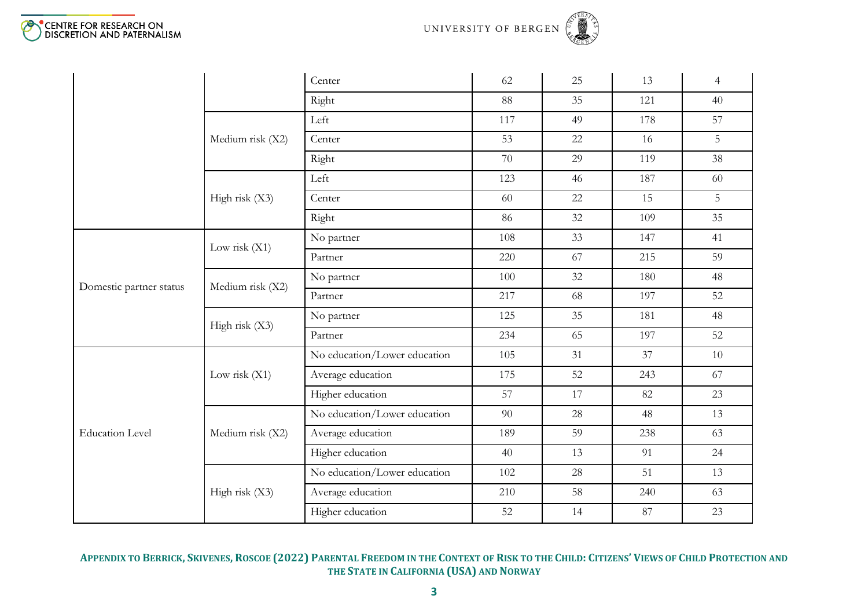



|                         |                  | Center                       | 62  | 25 | 13  | $\overline{4}$ |
|-------------------------|------------------|------------------------------|-----|----|-----|----------------|
|                         |                  | Right                        | 88  | 35 | 121 | 40             |
|                         |                  | Left                         | 117 | 49 | 178 | 57             |
|                         | Medium risk (X2) | Center                       | 53  | 22 | 16  | 5              |
|                         |                  | Right                        | 70  | 29 | 119 | 38             |
|                         |                  | Left                         | 123 | 46 | 187 | 60             |
|                         | High risk (X3)   | Center                       | 60  | 22 | 15  | 5 <sup>1</sup> |
|                         |                  | Right                        | 86  | 32 | 109 | 35             |
|                         | Low risk $(X1)$  | No partner                   | 108 | 33 | 147 | 41             |
|                         |                  | Partner                      | 220 | 67 | 215 | 59             |
| Domestic partner status | Medium risk (X2) | No partner                   | 100 | 32 | 180 | 48             |
|                         |                  | Partner                      | 217 | 68 | 197 | 52             |
|                         | High risk $(X3)$ | No partner                   | 125 | 35 | 181 | 48             |
|                         |                  | Partner                      | 234 | 65 | 197 | 52             |
|                         |                  | No education/Lower education | 105 | 31 | 37  | 10             |
|                         | Low risk $(X1)$  | Average education            | 175 | 52 | 243 | 67             |
|                         |                  | Higher education             | 57  | 17 | 82  | 23             |
|                         |                  | No education/Lower education | 90  | 28 | 48  | 13             |
| <b>Education Level</b>  | Medium risk (X2) | Average education            | 189 | 59 | 238 | 63             |
|                         |                  | Higher education             | 40  | 13 | 91  | 24             |
|                         |                  | No education/Lower education | 102 | 28 | 51  | 13             |
|                         | High risk (X3)   | Average education            | 210 | 58 | 240 | 63             |
|                         |                  | Higher education             | 52  | 14 | 87  | 23             |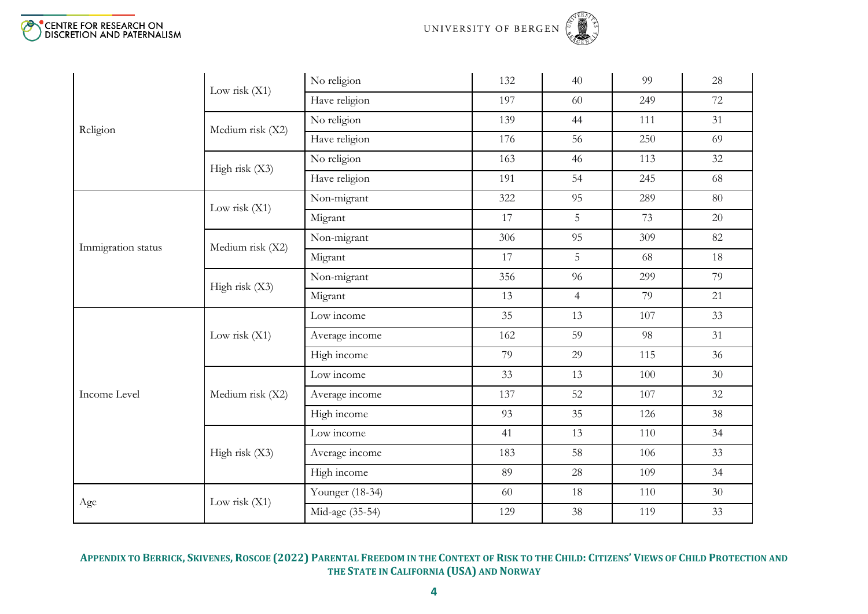



|                    | Low risk $(X1)$  | No religion     | 132 | 40             | 99  | 28 |
|--------------------|------------------|-----------------|-----|----------------|-----|----|
|                    |                  | Have religion   | 197 | 60             | 249 | 72 |
| Religion           | Medium risk (X2) | No religion     | 139 | 44             | 111 | 31 |
|                    |                  | Have religion   | 176 | 56             | 250 | 69 |
|                    | High risk $(X3)$ | No religion     | 163 | 46             | 113 | 32 |
|                    |                  | Have religion   | 191 | 54             | 245 | 68 |
|                    | Low risk $(X1)$  | Non-migrant     | 322 | 95             | 289 | 80 |
|                    |                  | Migrant         | 17  | 5              | 73  | 20 |
|                    | Medium risk (X2) | Non-migrant     | 306 | 95             | 309 | 82 |
| Immigration status |                  | Migrant         | 17  | 5              | 68  | 18 |
|                    | High risk $(X3)$ | Non-migrant     | 356 | 96             | 299 | 79 |
|                    |                  | Migrant         | 13  | $\overline{4}$ | 79  | 21 |
|                    |                  | Low income      | 35  | 13             | 107 | 33 |
|                    | Low risk $(X1)$  | Average income  | 162 | 59             | 98  | 31 |
|                    |                  | High income     | 79  | 29             | 115 | 36 |
|                    |                  | Low income      | 33  | 13             | 100 | 30 |
| Income Level       | Medium risk (X2) | Average income  | 137 | 52             | 107 | 32 |
|                    |                  | High income     | 93  | 35             | 126 | 38 |
|                    |                  | Low income      | 41  | 13             | 110 | 34 |
|                    | High risk (X3)   | Average income  | 183 | 58             | 106 | 33 |
|                    |                  | High income     | 89  | 28             | 109 | 34 |
|                    |                  | Younger (18-34) | 60  | 18             | 110 | 30 |
| Age                | Low risk $(X1)$  | Mid-age (35-54) | 129 | 38             | 119 | 33 |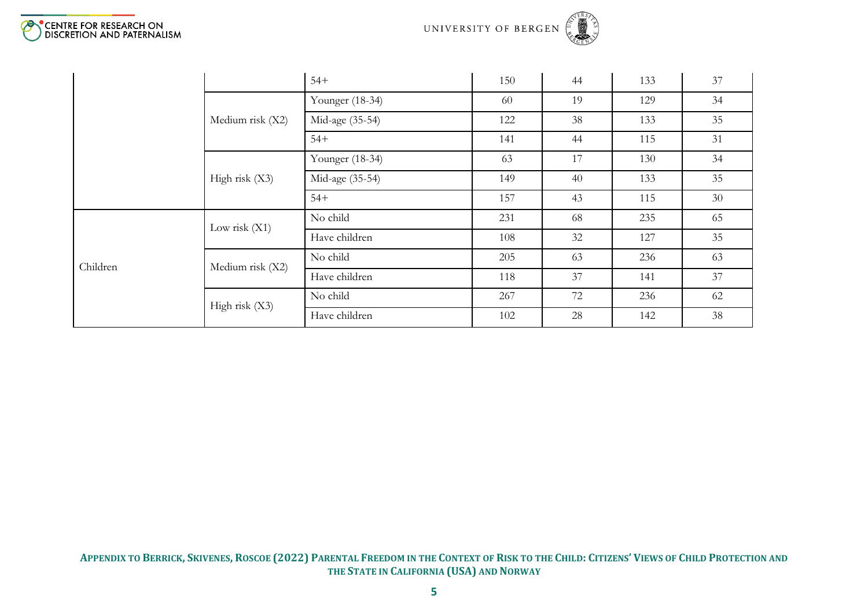



|          |                  | $54+$           | 150 | 44 | 133 | 37 |
|----------|------------------|-----------------|-----|----|-----|----|
|          |                  | Younger (18-34) | 60  | 19 | 129 | 34 |
|          | Medium risk (X2) | Mid-age (35-54) | 122 | 38 | 133 | 35 |
|          |                  | $54+$           | 141 | 44 | 115 | 31 |
|          |                  | Younger (18-34) | 63  | 17 | 130 | 34 |
|          | High risk $(X3)$ | Mid-age (35-54) | 149 | 40 | 133 | 35 |
|          |                  | $54+$           | 157 | 43 | 115 | 30 |
|          | Low risk $(X1)$  | No child        | 231 | 68 | 235 | 65 |
|          |                  | Have children   | 108 | 32 | 127 | 35 |
| Children | Medium risk (X2) | No child        | 205 | 63 | 236 | 63 |
|          |                  | Have children   | 118 | 37 | 141 | 37 |
|          | High risk $(X3)$ | No child        | 267 | 72 | 236 | 62 |
|          |                  | Have children   | 102 | 28 | 142 | 38 |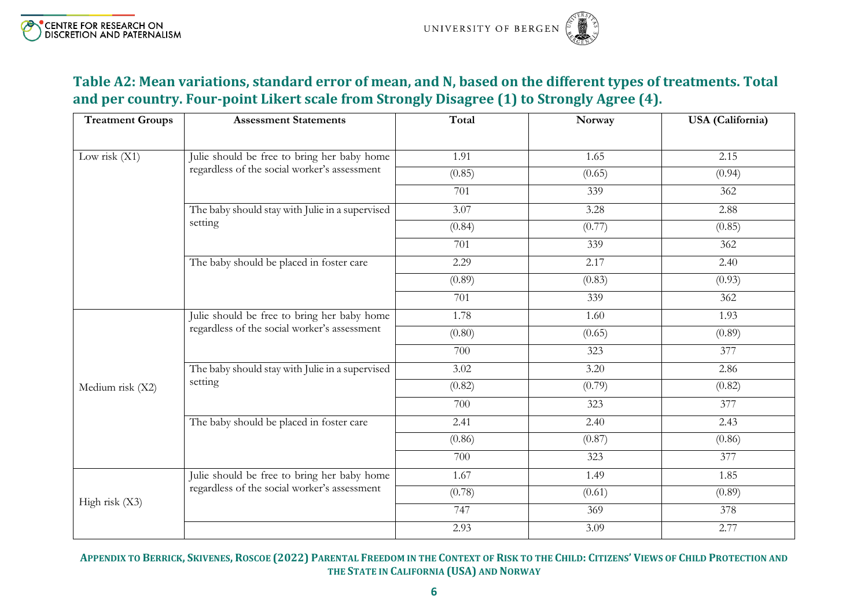#### **Table A2: Mean variations, standard error of mean, and N, based on the different types of treatments. Total and per country. Four-point Likert scale from Strongly Disagree (1) to Strongly Agree (4).**

<span id="page-5-0"></span>

| <b>Treatment Groups</b> | <b>Assessment Statements</b>                    | Total  | Norway | <b>USA</b> (California) |
|-------------------------|-------------------------------------------------|--------|--------|-------------------------|
|                         |                                                 |        |        |                         |
| Low risk $(X1)$         | Julie should be free to bring her baby home     | 1.91   | 1.65   | 2.15                    |
|                         | regardless of the social worker's assessment    | (0.85) | (0.65) | (0.94)                  |
|                         |                                                 | 701    | 339    | 362                     |
|                         | The baby should stay with Julie in a supervised | 3.07   | 3.28   | 2.88                    |
|                         | setting                                         | (0.84) | (0.77) | (0.85)                  |
|                         |                                                 | 701    | 339    | 362                     |
|                         | The baby should be placed in foster care        | 2.29   | 2.17   | 2.40                    |
|                         |                                                 | (0.89) | (0.83) | (0.93)                  |
|                         |                                                 | 701    | 339    | 362                     |
|                         | Julie should be free to bring her baby home     | 1.78   | 1.60   | 1.93                    |
|                         | regardless of the social worker's assessment    | (0.80) | (0.65) | (0.89)                  |
|                         |                                                 | 700    | 323    | 377                     |
|                         | The baby should stay with Julie in a supervised | 3.02   | 3.20   | 2.86                    |
| Medium risk (X2)        | setting                                         | (0.82) | (0.79) | (0.82)                  |
|                         |                                                 | 700    | 323    | 377                     |
|                         | The baby should be placed in foster care        | 2.41   | 2.40   | 2.43                    |
|                         |                                                 | (0.86) | (0.87) | (0.86)                  |
|                         |                                                 | 700    | 323    | 377                     |
|                         | Julie should be free to bring her baby home     | 1.67   | 1.49   | 1.85                    |
| High risk (X3)          | regardless of the social worker's assessment    | (0.78) | (0.61) | (0.89)                  |
|                         |                                                 | 747    | 369    | 378                     |
|                         |                                                 | 2.93   | 3.09   | 2.77                    |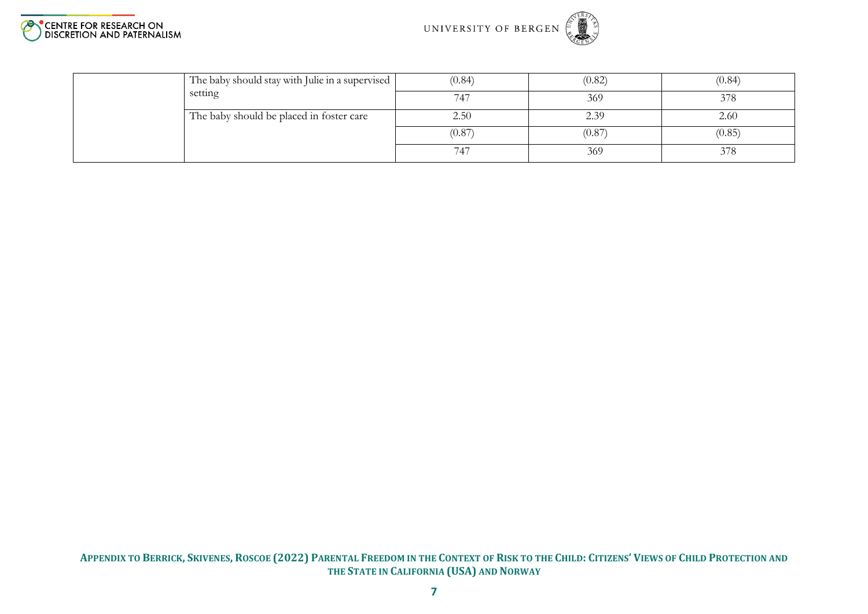



| The baby should stay with Julie in a supervised | (0.84) | (0.82) | (0.84) |
|-------------------------------------------------|--------|--------|--------|
| setting                                         | 747    | 369    | 378    |
| The baby should be placed in foster care        | 2.50   | 2.39   | 2.60   |
|                                                 | (0.87) | (0.87) | (0.85) |
|                                                 | 747    | 369    | 378    |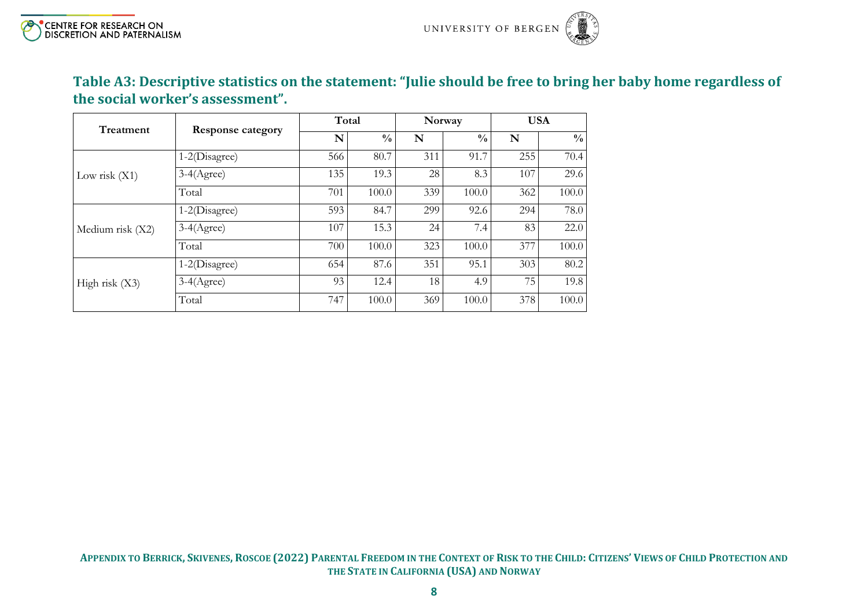### **Table A3: Descriptive statistics on the statement: "Julie should be free to bring her baby home regardless of the social worker's assessment".**

<span id="page-7-0"></span>

| Treatment        | <b>Response category</b> | Total |               |     | Norway        | <b>USA</b> |               |
|------------------|--------------------------|-------|---------------|-----|---------------|------------|---------------|
|                  |                          | N     | $\frac{0}{0}$ | N   | $\frac{0}{0}$ | N          | $\frac{0}{0}$ |
|                  | 1-2(Disagree)            | 566   | 80.7          | 311 | 91.7          | 255        | 70.4          |
| Low risk $(X1)$  | $3-4(Agree)$             | 135   | 19.3          | 28  | 8.3           | 107        | 29.6          |
|                  | Total                    | 701   | 100.0         | 339 | 100.0         | 362        | 100.0         |
|                  | 1-2(Disagree)            | 593   | 84.7          | 299 | 92.6          | 294        | 78.0          |
| Medium risk (X2) | $3-4(Agree)$             | 107   | 15.3          | 24  | 7.4           | 83         | 22.0          |
|                  | Total                    | 700   | 100.0         | 323 | 100.0         | 377        | 100.0         |
|                  | 1-2(Disagree)            | 654   | 87.6          | 351 | 95.1          | 303        | 80.2          |
| High risk $(X3)$ | $3-4$ (Agree)            | 93    | 12.4          | 18  | 4.9           | 75         | 19.8          |
|                  | Total                    | 747   | 100.0         | 369 | 100.0         | 378        | 100.0         |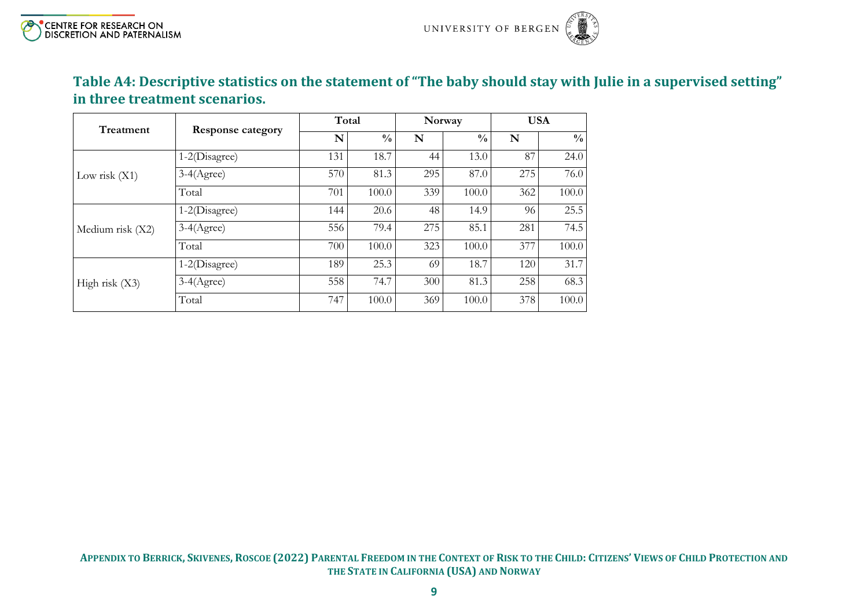# **Table A4: Descriptive statistics on the statement of "The baby should stay with Julie in a supervised setting" in three treatment scenarios.**

<span id="page-8-0"></span>

| Treatment        | <b>Response category</b> |     | Total         |     | Norway        | <b>USA</b> |               |
|------------------|--------------------------|-----|---------------|-----|---------------|------------|---------------|
|                  |                          | N   | $\frac{0}{0}$ | N   | $\frac{0}{0}$ | N          | $\frac{0}{0}$ |
|                  | 1-2(Disagree)            | 131 | 18.7          | 44  | 13.0          | 87         | 24.0          |
| Low risk $(X1)$  | $3-4(Agree)$             | 570 | 81.3          | 295 | 87.0          | 275        | 76.0          |
|                  | Total                    | 701 | 100.0         | 339 | 100.0         | 362        | 100.0         |
|                  | $1-2(Disagree)$          | 144 | 20.6          | 48  | 14.9          | 96         | 25.5          |
| Medium risk (X2) | $3-4(Agree)$             | 556 | 79.4          | 275 | 85.1          | 281        | 74.5          |
|                  | Total                    | 700 | 100.0         | 323 | 100.0         | 377        | 100.0         |
|                  | 1-2(Disagree)            | 189 | 25.3          | 69  | 18.7          | 120        | 31.7          |
| High risk $(X3)$ | $3-4(Agree)$             | 558 | 74.7          | 300 | 81.3          | 258        | 68.3          |
|                  | Total                    | 747 | 100.0         | 369 | 100.0         | 378        | 100.0         |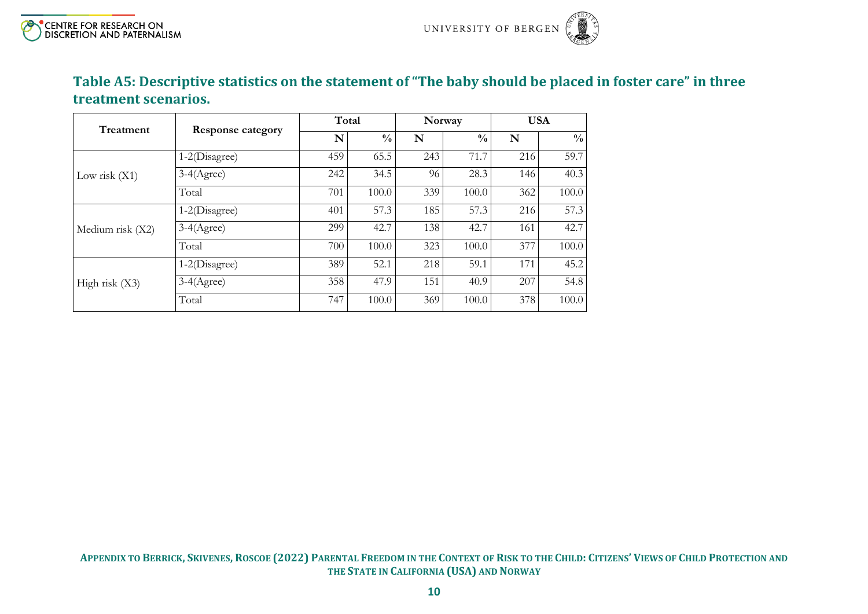# **Table A5: Descriptive statistics on the statement of "The baby should be placed in foster care" in three treatment scenarios.**

<span id="page-9-0"></span>

| Treatment        |                          | Total |               |     | Norway        |     | <b>USA</b>    |
|------------------|--------------------------|-------|---------------|-----|---------------|-----|---------------|
|                  | <b>Response category</b> | N     | $\frac{0}{0}$ | N   | $\frac{0}{0}$ | N   | $\frac{0}{0}$ |
|                  | $1-2(Disagree)$          | 459   | 65.5          | 243 | 71.7          | 216 | 59.7          |
| Low risk $(X1)$  | $3-4(Agree)$             | 242   | 34.5          | 96  | 28.3          | 146 | 40.3          |
|                  | Total                    | 701   | 100.0         | 339 | 100.0         | 362 | 100.0         |
|                  | 1-2(Disagree)            | 401   | 57.3          | 185 | 57.3          | 216 | 57.3          |
| Medium risk (X2) | $3-4(Agree)$             | 299   | 42.7          | 138 | 42.7          | 161 | 42.7          |
|                  | Total                    | 700   | 100.0         | 323 | 100.0         | 377 | 100.0         |
|                  | 1-2(Disagree)            | 389   | 52.1          | 218 | 59.1          | 171 | 45.2          |
| High risk $(X3)$ | $3-4(Agree)$             | 358   | 47.9          | 151 | 40.9          | 207 | 54.8          |
|                  | Total                    | 747   | 100.0         | 369 | 100.0         | 378 | 100.0         |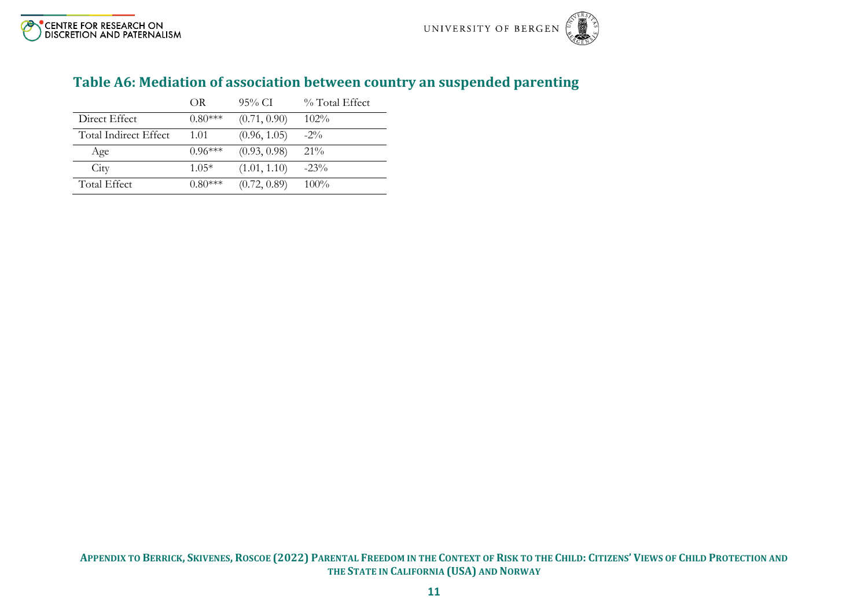<span id="page-10-0"></span>

|                       | OR.       | $95\%$ CI    | % Total Effect |
|-----------------------|-----------|--------------|----------------|
| Direct Effect         | $0.80***$ | (0.71, 0.90) | $102\%$        |
| Total Indirect Effect | 1.01      | (0.96, 1.05) | $-2\%$         |
| Age                   | $0.96***$ | (0.93, 0.98) | $21\%$         |
| City                  | $1.05*$   | (1.01, 1.10) | $-23\%$        |
| Total Effect          | $0.80***$ | (0.72, 0.89) | $100\%$        |

### **Table A6: Mediation of association between country an suspended parenting**